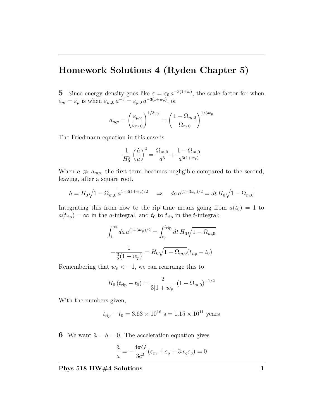## Homework Solutions 4 (Ryden Chapter 5)

**5** Since energy density goes like  $\varepsilon = \varepsilon_0 a^{-3(1+w)}$ , the scale factor for when  $\varepsilon_m = \varepsilon_p$  is when  $\varepsilon_{m,0} a^{-3} = \varepsilon_{p,0} a^{-3(1+w_p)},$  or

$$
a_{mp} = \left(\frac{\varepsilon_{p,0}}{\varepsilon_{m,0}}\right)^{1/3w_p} = \left(\frac{1 - \Omega_{m,0}}{\Omega_{m,0}}\right)^{1/3w_p}
$$

The Friedmann equation in this case is

$$
\frac{1}{H_0^2} \left(\frac{\dot{a}}{a}\right)^2 = \frac{\Omega_{m,0}}{a^3} + \frac{1 - \Omega_{m,0}}{a^{3(1+w_p)}}
$$

When  $a \gg a_{mp}$ , the first term becomes negligible compared to the second, leaving, after a square root,

$$
\dot{a} = H_0 \sqrt{1 - \Omega_{m,0}} \, a^{1 - 3(1 + w_p)/2} \quad \Rightarrow \quad da \, a^{(1 + 3w_p)/2} = dt \, H_0 \sqrt{1 - \Omega_{m,0}}
$$

Integrating this from now to the rip time means going from  $a(t_0) = 1$  to  $a(t_{\text{rip}}) = \infty$  in the *a*-integral, and  $t_0$  to  $t_{\text{rip}}$  in the *t*-integral:

$$
\int_{1}^{\infty} da \, a^{(1+3w_p)/2} = \int_{t_0}^{t_{\rm rip}} dt \, H_0 \sqrt{1 - \Omega_{m,0}}
$$

$$
-\frac{1}{\frac{3}{2}(1+w_p)} = H_0 \sqrt{1 - \Omega_{m,0}} (t_{\rm rip} - t_0)
$$

Remembering that  $w_p < -1$ , we can rearrange this to

$$
H_0 \left( t_{\rm rip} - t_0 \right) = \frac{2}{3|1 + w_p|} \left( 1 - \Omega_{m,0} \right)^{-1/2}
$$

With the numbers given,

$$
t_{\text{rip}} - t_0 = 3.63 \times 10^{16} \text{ s} = 1.15 \times 10^{11} \text{ years}
$$

**6** We want  $\ddot{a} = \dot{a} = 0$ . The acceleration equation gives

$$
\frac{\ddot{a}}{a} = -\frac{4\pi G}{3c^2} \left( \varepsilon_m + \varepsilon_q + 3w_q \varepsilon_q \right) = 0
$$

Phys 518 HW#4 Solutions 1